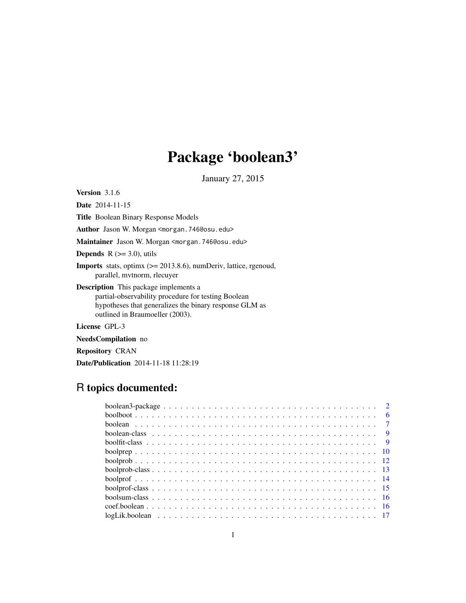# Package 'boolean3'

January 27, 2015

<span id="page-0-0"></span>Version 3.1.6

Date 2014-11-15

Title Boolean Binary Response Models

Author Jason W. Morgan <morgan.746@osu.edu>

Maintainer Jason W. Morgan <morgan.746@osu.edu>

**Depends**  $R$  ( $>=$  3.0), utils

Imports stats, optimx (>= 2013.8.6), numDeriv, lattice, rgenoud, parallel, mvtnorm, rlecuyer

Description This package implements a partial-observability procedure for testing Boolean hypotheses that generalizes the binary response GLM as outlined in Braumoeller (2003).

License GPL-3

NeedsCompilation no

Repository CRAN

Date/Publication 2014-11-18 11:28:19

# R topics documented: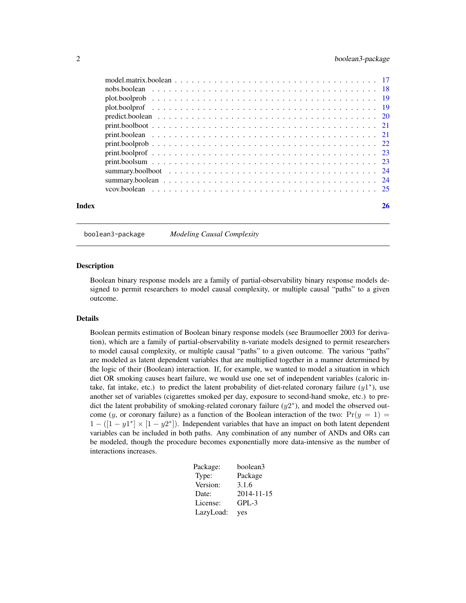<span id="page-1-0"></span>

| Index | 26 |
|-------|----|

boolean3-package *Modeling Causal Complexity*

#### Description

Boolean binary response models are a family of partial-observability binary response models designed to permit researchers to model causal complexity, or multiple causal "paths" to a given outcome.

# Details

Boolean permits estimation of Boolean binary response models (see Braumoeller 2003 for derivation), which are a family of partial-observability n-variate models designed to permit researchers to model causal complexity, or multiple causal "paths" to a given outcome. The various "paths" are modeled as latent dependent variables that are multiplied together in a manner determined by the logic of their (Boolean) interaction. If, for example, we wanted to model a situation in which diet OR smoking causes heart failure, we would use one set of independent variables (caloric intake, fat intake, etc.) to predict the latent probability of diet-related coronary failure  $(y1^*)$ , use another set of variables (cigarettes smoked per day, exposure to second-hand smoke, etc.) to predict the latent probability of smoking-related coronary failure  $(y2^*)$ , and model the observed outcome (y, or coronary failure) as a function of the Boolean interaction of the two:  $Pr(y = 1)$  $1 - ([1 - y1^*] \times [1 - y2^*])$ . Independent variables that have an impact on both latent dependent variables can be included in both paths. Any combination of any number of ANDs and ORs can be modeled, though the procedure becomes exponentially more data-intensive as the number of interactions increases.

| Package:  | boolean3   |
|-----------|------------|
| Type:     | Package    |
| Version:  | 3.1.6      |
| Date:     | 2014-11-15 |
| License:  | $GPL-3$    |
| LazyLoad: | yes        |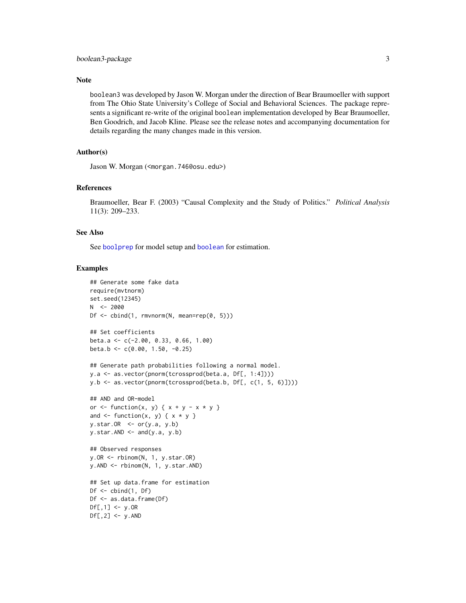#### <span id="page-2-0"></span>Note

boolean3 was developed by Jason W. Morgan under the direction of Bear Braumoeller with support from The Ohio State University's College of Social and Behavioral Sciences. The package represents a significant re-write of the original boolean implementation developed by Bear Braumoeller, Ben Goodrich, and Jacob Kline. Please see the release notes and accompanying documentation for details regarding the many changes made in this version.

#### Author(s)

Jason W. Morgan (<morgan.746@osu.edu>)

#### References

Braumoeller, Bear F. (2003) "Causal Complexity and the Study of Politics." *Political Analysis* 11(3): 209–233.

# See Also

See [boolprep](#page-9-1) for model setup and [boolean](#page-6-1) for estimation.

#### Examples

```
## Generate some fake data
require(mvtnorm)
set.seed(12345)
N < -2000Df \le - cbind(1, rmvnorm(N, mean=rep(0, 5)))
## Set coefficients
beta.a <- c(-2.00, 0.33, 0.66, 1.00)
beta.b <- c(0.00, 1.50, -0.25)
## Generate path probabilities following a normal model.
y.a <- as.vector(pnorm(tcrossprod(beta.a, Df[, 1:4])))
y.b <- as.vector(pnorm(tcrossprod(beta.b, Df[, c(1, 5, 6)])))
## AND and OR-model
or \le function(x, y) { x + y - x * y }
and \leq function(x, y) { x * y }
y.star.OR \leq or(y.a, y.b)y.star.AND \leftarrow and(y.a, y.b)## Observed responses
y.OR <- rbinom(N, 1, y.star.OR)
y.AND <- rbinom(N, 1, y.star.AND)
## Set up data.frame for estimation
Df \leftarrow \text{cbind}(1, DF)Df <- as.data.frame(Df)
Df[, 1] <- y.OR
Df[, 2] <- y.AND
```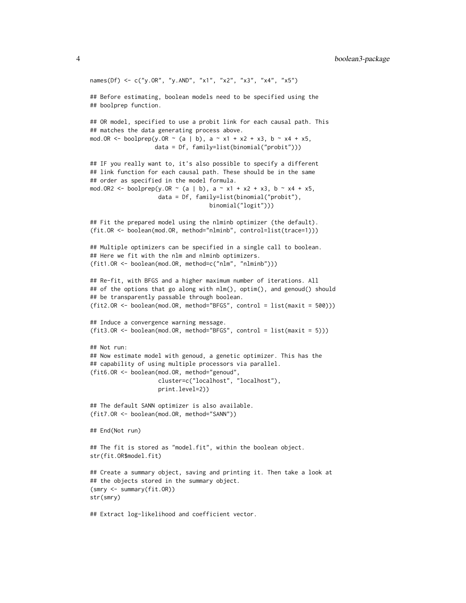```
names(Df) <- c("y.OR", "y.AND", "x1", "x2", "x3", "x4", "x5")
## Before estimating, boolean models need to be specified using the
## boolprep function.
## OR model, specified to use a probit link for each causal path. This
## matches the data generating process above.
mod.OR <- boolprep(y.OR ~ (a | b), a ~ x1 + x2 + x3, b ~ x4 + x5,
                   data = Df, family=list(binomial("probit")))
## IF you really want to, it's also possible to specify a different
## link function for each causal path. These should be in the same
## order as specified in the model formula.
mod.OR2 <- boolprep(y.OR ~ (a | b), a ~ x1 + x2 + x3, b ~ x4 + x5,
                    data = Df, family=list(binomial("probit"),
                                   binomial("logit")))
## Fit the prepared model using the nlminb optimizer (the default).
(fit.OR <- boolean(mod.OR, method="nlminb", control=list(trace=1)))
## Multiple optimizers can be specified in a single call to boolean.
## Here we fit with the nlm and nlminb optimizers.
(fit1.OR <- boolean(mod.OR, method=c("nlm", "nlminb")))
## Re-fit, with BFGS and a higher maximum number of iterations. All
## of the options that go along with nlm(), optim(), and genoud() should
## be transparently passable through boolean.
(fit2.OR <- boolean(mod.OR, method="BFGS", control = list(maxit = 500)))
## Induce a convergence warning message.
(fit3.OR <- boolean(mod.OR, method="BFGS", control = list(maxit = 5)))
## Not run:
## Now estimate model with genoud, a genetic optimizer. This has the
## capability of using multiple processors via parallel.
(fit6.OR <- boolean(mod.OR, method="genoud",
                    cluster=c("localhost", "localhost"),
                    print.level=2))
## The default SANN optimizer is also available.
(fit7.OR <- boolean(mod.OR, method="SANN"))
## End(Not run)
## The fit is stored as "model.fit", within the boolean object.
str(fit.OR$model.fit)
## Create a summary object, saving and printing it. Then take a look at
## the objects stored in the summary object.
(smry <- summary(fit.OR))
str(smry)
```
## Extract log-likelihood and coefficient vector.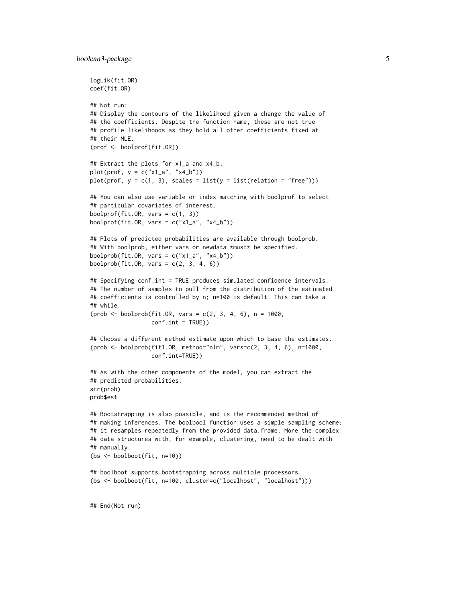```
logLik(fit.OR)
coef(fit.OR)
## Not run:
## Display the contours of the likelihood given a change the value of
## the coefficients. Despite the function name, these are not true
## profile likelihoods as they hold all other coefficients fixed at
## their MLE.
(prof <- boolprof(fit.OR))
## Extract the plots for x1_a and x4_b.
plot(prof, y = c("x1_a", "x4_b"))
plot(prof, y = c(1, 3), scales = list(y = list(relation = "free")))
## You can also use variable or index matching with boolprof to select
## particular covariates of interest.
boolprof(fit.OR, vars = c(1, 3))
boolprof(fit.OR, vars = c("x1_a", "x4_b"))## Plots of predicted probabilities are available through boolprob.
## With boolprob, either vars or newdata *must* be specified.
boolprob(fit.OR, vars = c("x1_a", "x4_b"))
boolprob(fit.OR, vars = c(2, 3, 4, 6))
## Specifying conf.int = TRUE produces simulated confidence intervals.
## The number of samples to pull from the distribution of the estimated
## coefficients is controlled by n; n=100 is default. This can take a
## while.
(prob < -boolprob(fit.OR, vars = c(2, 3, 4, 6), n = 1000,conf.int = TRUE))
## Choose a different method estimate upon which to base the estimates.
(prob \leq booleanblock(fit1.0R, method="nlm", vars=c(2, 3, 4, 6), n=1000,conf.int=TRUE))
## As with the other components of the model, you can extract the
## predicted probabilities.
str(prob)
prob$est
## Bootstrapping is also possible, and is the recommended method of
## making inferences. The boolbool function uses a simple sampling scheme:
## it resamples repeatedly from the provided data.frame. More the complex
## data structures with, for example, clustering, need to be dealt with
## manually.
(bs <- boolboot(fit, n=10))
## boolboot supports bootstrapping across multiple processors.
(bs <- boolboot(fit, n=100, cluster=c("localhost", "localhost")))
## End(Not run)
```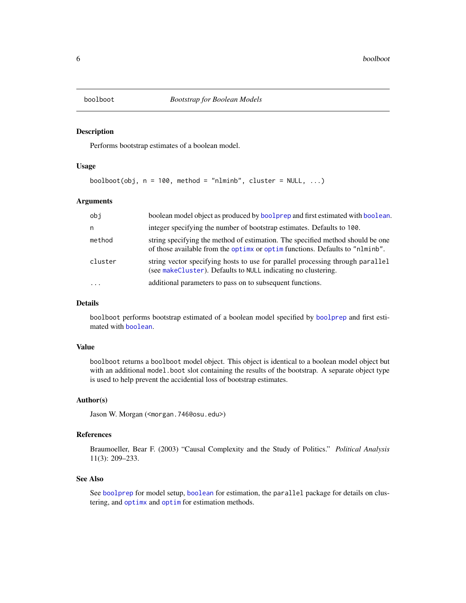<span id="page-5-0"></span>

Performs bootstrap estimates of a boolean model.

#### Usage

boolboot(obj,  $n = 100$ , method = "nlminb", cluster = NULL, ...)

# Arguments

| obj       | boolean model object as produced by boolprep and first estimated with boolean.                                                                                  |
|-----------|-----------------------------------------------------------------------------------------------------------------------------------------------------------------|
| n         | integer specifying the number of bootstrap estimates. Defaults to 100.                                                                                          |
| method    | string specifying the method of estimation. The specified method should be one<br>of those available from the optimized or optimizations. Defaults to "nlminb". |
| cluster   | string vector specifying hosts to use for parallel processing through parallel<br>(see makeCluster). Defaults to NULL indicating no clustering.                 |
| $\ddotsc$ | additional parameters to pass on to subsequent functions.                                                                                                       |

#### Details

boolboot performs bootstrap estimated of a boolean model specified by [boolprep](#page-9-1) and first estimated with [boolean](#page-6-1).

#### Value

boolboot returns a boolboot model object. This object is identical to a boolean model object but with an additional model. boot slot containing the results of the bootstrap. A separate object type is used to help prevent the accidential loss of bootstrap estimates.

#### Author(s)

Jason W. Morgan (<morgan.746@osu.edu>)

#### References

Braumoeller, Bear F. (2003) "Causal Complexity and the Study of Politics." *Political Analysis* 11(3): 209–233.

#### See Also

See [boolprep](#page-9-1) for model setup, [boolean](#page-6-1) for estimation, the parallel package for details on clustering, and [optimx](#page-0-0) and [optim](#page-0-0) for estimation methods.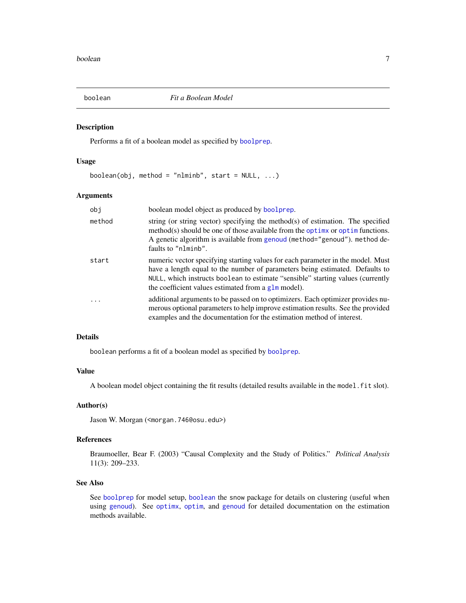<span id="page-6-1"></span><span id="page-6-0"></span>

Performs a fit of a boolean model as specified by [boolprep](#page-9-1).

#### Usage

boolean(obj, method = "nlminb", start =  $NULL, ...)$ 

#### Arguments

| obj    | boolean model object as produced by boolprep.                                                                                                                                                                                                                                                                        |
|--------|----------------------------------------------------------------------------------------------------------------------------------------------------------------------------------------------------------------------------------------------------------------------------------------------------------------------|
| method | string (or string vector) specifying the method(s) of estimation. The specified<br>method(s) should be one of those available from the optimes or optimulations.<br>A genetic algorithm is available from genoud (method="genoud"). method de-<br>faults to "nlminb".                                                |
| start  | numeric vector specifying starting values for each parameter in the model. Must<br>have a length equal to the number of parameters being estimated. Defaults to<br>NULL, which instructs boolean to estimate "sensible" starting values (currently<br>the coefficient values estimated from a $g \ln \text{model}$ . |
| .      | additional arguments to be passed on to optimizers. Each optimizer provides nu-<br>merous optional parameters to help improve estimation results. See the provided<br>examples and the documentation for the estimation method of interest.                                                                          |

#### Details

boolean performs a fit of a boolean model as specified by [boolprep](#page-9-1).

#### Value

A boolean model object containing the fit results (detailed results available in the model.fit slot).

#### Author(s)

Jason W. Morgan (<morgan.746@osu.edu>)

# References

Braumoeller, Bear F. (2003) "Causal Complexity and the Study of Politics." *Political Analysis* 11(3): 209–233.

#### See Also

See [boolprep](#page-9-1) for model setup, [boolean](#page-6-1) the snow package for details on clustering (useful when using [genoud](#page-0-0)). See [optimx](#page-0-0), [optim](#page-0-0), and [genoud](#page-0-0) for detailed documentation on the estimation methods available.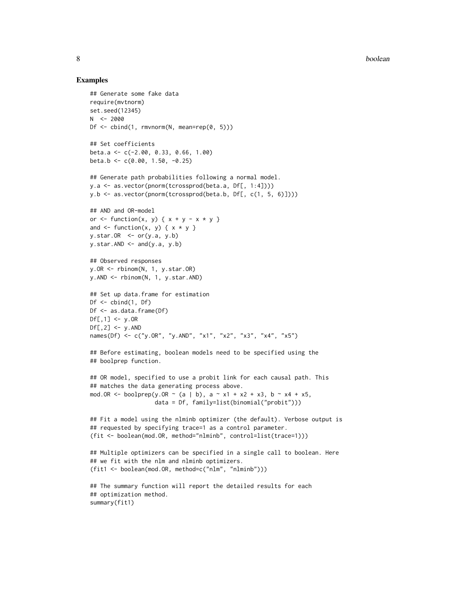#### Examples

```
## Generate some fake data
require(mvtnorm)
set.seed(12345)
N < -2000Df <- cbind(1, rmvnorm(N, mean=rep(0, 5)))
## Set coefficients
beta.a <- c(-2.00, 0.33, 0.66, 1.00)
beta.b <- c(0.00, 1.50, -0.25)
## Generate path probabilities following a normal model.
y.a <- as.vector(pnorm(tcrossprod(beta.a, Df[, 1:4])))
y.b <- as.vector(pnorm(tcrossprod(beta.b, Df[, c(1, 5, 6)])))
## AND and OR-model
or \le function(x, y) { x + y - x * y }
and \leq function(x, y) { x * y }
y.star.OR <- or(y.a, y.b)
y.star.AND \leftarrow and(y.a, y.b)## Observed responses
y.OR <- rbinom(N, 1, y.star.OR)
y.AND <- rbinom(N, 1, y.star.AND)
## Set up data.frame for estimation
Df \leftarrow \text{cbind}(1, DF)Df <- as.data.frame(Df)
Df[, 1] <- y.OR
Df[, 2] <- y.AND
names(Df) <- c("y.OR", "y.AND", "x1", "x2", "x3", "x4", "x5")
## Before estimating, boolean models need to be specified using the
## boolprep function.
## OR model, specified to use a probit link for each causal path. This
## matches the data generating process above.
mod.OR <- boolprep(y.OR ~ (a | b), a ~ x1 + x2 + x3, b ~ x4 + x5,
                   data = Df, family=list(binomial("probit")))
## Fit a model using the nlminb optimizer (the default). Verbose output is
## requested by specifying trace=1 as a control parameter.
(fit <- boolean(mod.OR, method="nlminb", control=list(trace=1)))
## Multiple optimizers can be specified in a single call to boolean. Here
## we fit with the nlm and nlminb optimizers.
(fit1 <- boolean(mod.OR, method=c("nlm", "nlminb")))
## The summary function will report the detailed results for each
## optimization method.
summary(fit1)
```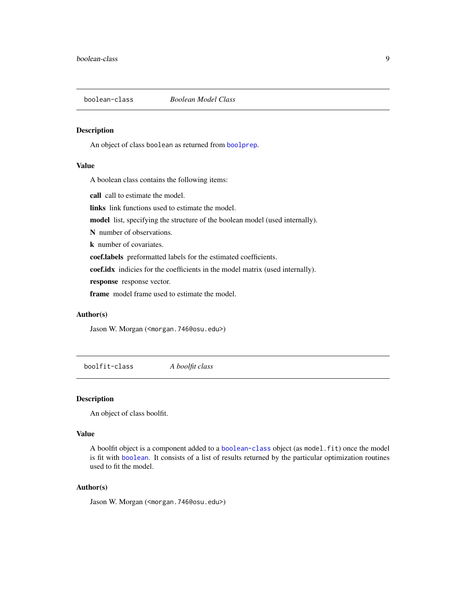<span id="page-8-1"></span><span id="page-8-0"></span>

An object of class boolean as returned from [boolprep](#page-9-1).

# Value

A boolean class contains the following items:

call call to estimate the model.

links link functions used to estimate the model.

model list, specifying the structure of the boolean model (used internally).

N number of observations.

k number of covariates.

coef.labels preformatted labels for the estimated coefficients.

coef.idx indicies for the coefficients in the model matrix (used internally).

response response vector.

frame model frame used to estimate the model.

# Author(s)

Jason W. Morgan (<morgan.746@osu.edu>)

boolfit-class *A boolfit class*

#### Description

An object of class boolfit.

#### Value

A boolfit object is a component added to a [boolean-class](#page-8-1) object (as model.fit) once the model is fit with [boolean](#page-6-1). It consists of a list of results returned by the particular optimization routines used to fit the model.

# Author(s)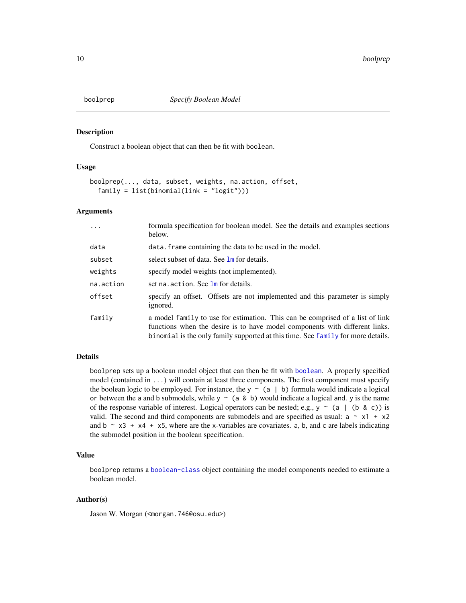<span id="page-9-1"></span><span id="page-9-0"></span>

Construct a boolean object that can then be fit with boolean.

# Usage

```
boolprep(..., data, subset, weights, na.action, offset,
  family = list(binomial(link = "logit")))
```
#### Arguments

| $\ddots$  | formula specification for boolean model. See the details and examples sections<br>below.                                                                                                                                                         |
|-----------|--------------------------------------------------------------------------------------------------------------------------------------------------------------------------------------------------------------------------------------------------|
| data      | data. frame containing the data to be used in the model.                                                                                                                                                                                         |
| subset    | select subset of data. See lm for details.                                                                                                                                                                                                       |
| weights   | specify model weights (not implemented).                                                                                                                                                                                                         |
| na.action | set na. action. See lm for details.                                                                                                                                                                                                              |
| offset    | specify an offset. Offsets are not implemented and this parameter is simply<br>ignored.                                                                                                                                                          |
| family    | a model family to use for estimation. This can be comprised of a list of link<br>functions when the desire is to have model components with different links.<br>binomial is the only family supported at this time. See family for more details. |

# Details

boolprep sets up a boolean model object that can then be fit with [boolean](#page-6-1). A properly specified model (contained in ...) will contain at least three components. The first component must specify the boolean logic to be employed. For instance, the  $y \sim (a \mid b)$  formula would indicate a logical or between the a and b submodels, while  $y \sim (a \& b)$  would indicate a logical and. y is the name of the response variable of interest. Logical operators can be nested; e.g.,  $y \sim (a \mid (b \& c))$  is valid. The second and third components are submodels and are specified as usual:  $a \sim x1 + x2$ and  $b \sim x3 + x4 + x5$ , where are the x-variables are covariates. a, b, and c are labels indicating the submodel position in the boolean specification.

#### Value

boolprep returns a [boolean-class](#page-8-1) object containing the model components needed to estimate a boolean model.

# Author(s)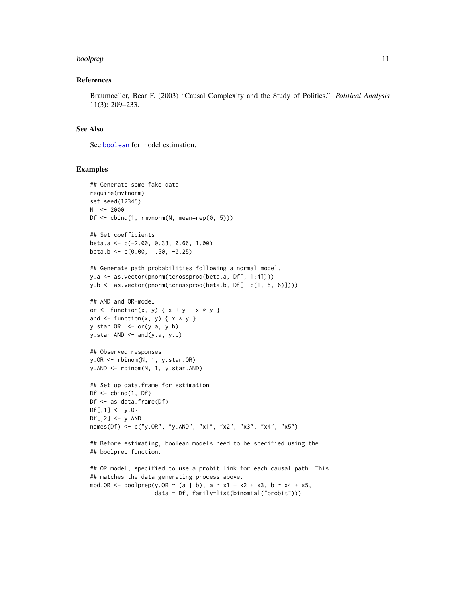#### <span id="page-10-0"></span>boolprep that the contract of the contract of the contract of the contract of the contract of the contract of the contract of the contract of the contract of the contract of the contract of the contract of the contract of

#### References

Braumoeller, Bear F. (2003) "Causal Complexity and the Study of Politics." *Political Analysis* 11(3): 209–233.

# See Also

See [boolean](#page-6-1) for model estimation.

#### Examples

```
## Generate some fake data
require(mvtnorm)
set.seed(12345)
N < -2000Df <- cbind(1, rmvnorm(N, mean=rep(0, 5)))
## Set coefficients
beta.a <- c(-2.00, 0.33, 0.66, 1.00)
beta.b <- c(0.00, 1.50, -0.25)
## Generate path probabilities following a normal model.
y.a <- as.vector(pnorm(tcrossprod(beta.a, Df[, 1:4])))
y.b <- as.vector(pnorm(tcrossprod(beta.b, Df[, c(1, 5, 6)])))
## AND and OR-model
or \le function(x, y) { x + y - x * y }
and \leq function(x, y) { x * y }
y.star.OR <- or(y.a, y.b)
y.star.AND <- and(y.a, y.b)
## Observed responses
y.OR <- rbinom(N, 1, y.star.OR)
y.AND <- rbinom(N, 1, y.star.AND)
## Set up data.frame for estimation
Df \leftarrow \text{cbind}(1, DF)Df <- as.data.frame(Df)
Df[, 1] <- y.OR
Df[,2] <- y.AND
names(Df) <- c("y.OR", "y.AND", "x1", "x2", "x3", "x4", "x5")
## Before estimating, boolean models need to be specified using the
## boolprep function.
## OR model, specified to use a probit link for each causal path. This
## matches the data generating process above.
```

```
mod.OR <- boolprep(y.OR \sim (a | b), a \sim x1 + x2 + x3, b \sim x4 + x5,
                    data = Df, family=list(binomial("probit")))
```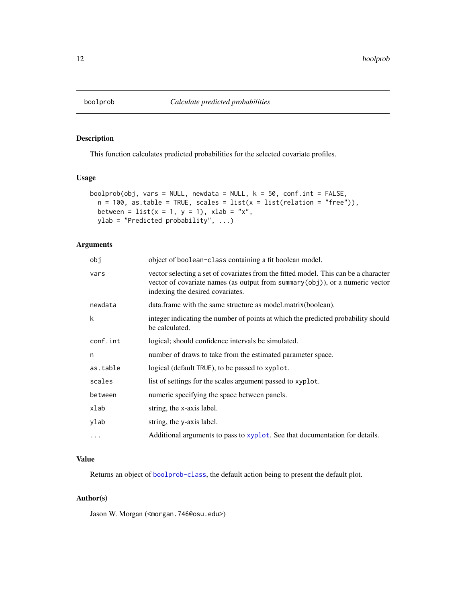<span id="page-11-1"></span><span id="page-11-0"></span>

This function calculates predicted probabilities for the selected covariate profiles.

# Usage

```
boolprob(obj, vars = NULL, newdata = NULL, k = 50, conf.int = FALSE,
 n = 100, as.table = TRUE, scales = list(x = list(relation = "free")),
 between = list(x = 1, y = 1), xlab = "x",ylab = "Predicted probability", ...)
```
# Arguments

| obj      | object of boolean-class containing a fit boolean model.                                                                                                                                                     |
|----------|-------------------------------------------------------------------------------------------------------------------------------------------------------------------------------------------------------------|
| vars     | vector selecting a set of covariates from the fitted model. This can be a character<br>vector of covariate names (as output from summary $(obj)$ ), or a numeric vector<br>indexing the desired covariates. |
| newdata  | data.frame with the same structure as model.matrix(boolean).                                                                                                                                                |
| k        | integer indicating the number of points at which the predicted probability should<br>be calculated.                                                                                                         |
| conf.int | logical; should confidence intervals be simulated.                                                                                                                                                          |
| n        | number of draws to take from the estimated parameter space.                                                                                                                                                 |
| as.table | logical (default TRUE), to be passed to xyplot.                                                                                                                                                             |
| scales   | list of settings for the scales argument passed to xyplot.                                                                                                                                                  |
| between  | numeric specifying the space between panels.                                                                                                                                                                |
| xlab     | string, the x-axis label.                                                                                                                                                                                   |
| ylab     | string, the y-axis label.                                                                                                                                                                                   |
| $\cdots$ | Additional arguments to pass to xyplot. See that documentation for details.                                                                                                                                 |

# Value

Returns an object of [boolprob-class](#page-12-1), the default action being to present the default plot.

# Author(s)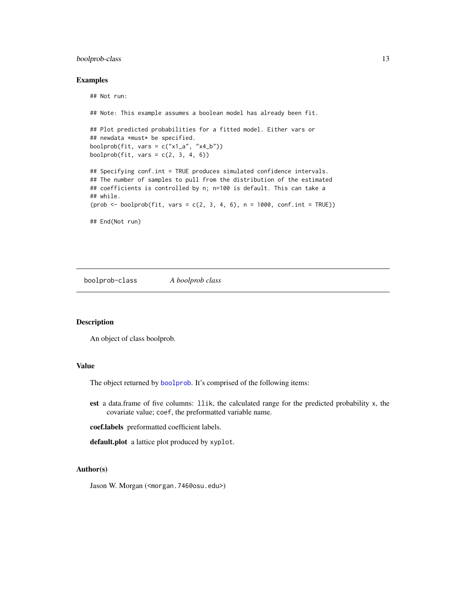#### <span id="page-12-0"></span>boolprob-class 13

#### Examples

```
## Not run:
## Note: This example assumes a boolean model has already been fit.
## Plot predicted probabilities for a fitted model. Either vars or
## newdata *must* be specified.
boolprob(fit, vars = c("x1_a", "x4_b"))boolprob(fit, vars = c(2, 3, 4, 6))
## Specifying conf.int = TRUE produces simulated confidence intervals.
## The number of samples to pull from the distribution of the estimated
## coefficients is controlled by n; n=100 is default. This can take a
## while.
(prob \leq booleanblock(fit, vars = c(2, 3, 4, 6), n = 1000, conf.int = TRUE))## End(Not run)
```
<span id="page-12-1"></span>boolprob-class *A boolprob class*

#### Description

An object of class boolprob.

#### Value

The object returned by [boolprob](#page-11-1). It's comprised of the following items:

est a data.frame of five columns: llik, the calculated range for the predicted probability x, the covariate value; coef, the preformatted variable name.

coef.labels preformatted coefficient labels.

default.plot a lattice plot produced by xyplot.

# Author(s)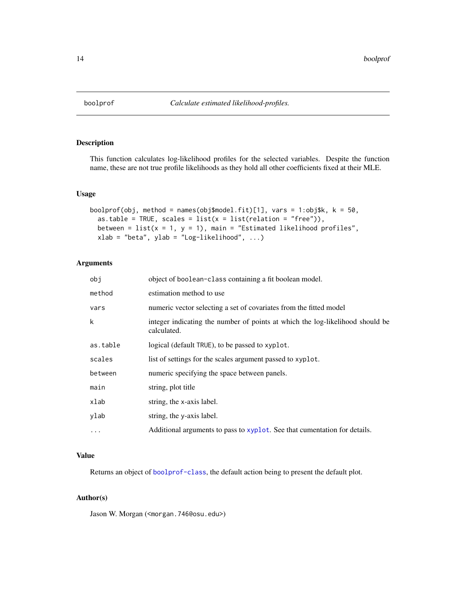<span id="page-13-1"></span><span id="page-13-0"></span>

This function calculates log-likelihood profiles for the selected variables. Despite the function name, these are not true profile likelihoods as they hold all other coefficients fixed at their MLE.

#### Usage

```
boolprof(obj, method = names(obj$model.fit)[1], vars = 1:obj$k, k = 50,
  as.table = TRUE, scales = list(x = list(relation = "free")),
 between = list(x = 1, y = 1), main = "Estimated likelihood profiles",
  xlab = "beta", ylab = "Log-likelihood", ...)
```
# Arguments

| obi        | object of boolean-class containing a fit boolean model.                                      |
|------------|----------------------------------------------------------------------------------------------|
| method     | estimation method to use                                                                     |
| vars       | numeric vector selecting a set of covariates from the fitted model                           |
| k          | integer indicating the number of points at which the log-likelihood should be<br>calculated. |
| as.table   | logical (default TRUE), to be passed to xyplot.                                              |
| scales     | list of settings for the scales argument passed to xyplot.                                   |
| between    | numeric specifying the space between panels.                                                 |
| main       | string, plot title                                                                           |
| xlab       | string, the x-axis label.                                                                    |
| ylab       | string, the y-axis label.                                                                    |
| $\ddots$ . | Additional arguments to pass to xyplot. See that cumentation for details.                    |

# Value

Returns an object of [boolprof-class](#page-14-1), the default action being to present the default plot.

# Author(s)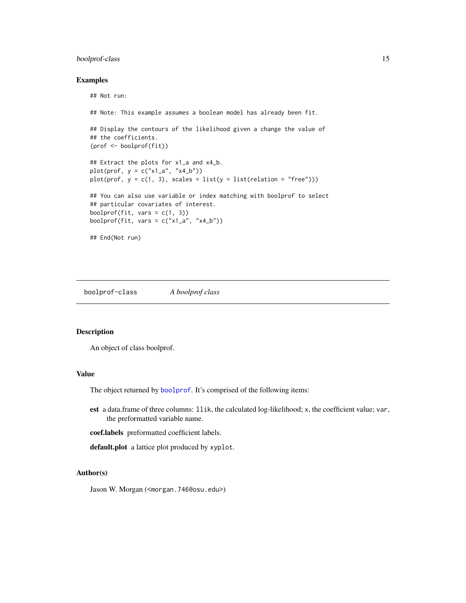# <span id="page-14-0"></span>boolprof-class 15

# Examples

```
## Not run:
## Note: This example assumes a boolean model has already been fit.
## Display the contours of the likelihood given a change the value of
## the coefficients.
(prof <- boolprof(fit))
## Extract the plots for x1_a and x4_b.
plot(prof, y = c("x1_a", "x4_b"))plot(prof, y = c(1, 3), scales = list(y = list(relation = "free")))
## You can also use variable or index matching with boolprof to select
## particular covariates of interest.
boolprof(fit, vars = c(1, 3))
boolprof(fit, vars = c("x1_a", "x4_b"))## End(Not run)
```
<span id="page-14-1"></span>boolprof-class *A boolprof class*

#### Description

An object of class boolprof.

# Value

The object returned by [boolprof](#page-13-1). It's comprised of the following items:

est a data.frame of three columns: llik, the calculated log-likelihood; x, the coefficient value; var, the preformatted variable name.

coef.labels preformatted coefficient labels.

default.plot a lattice plot produced by xyplot.

#### Author(s)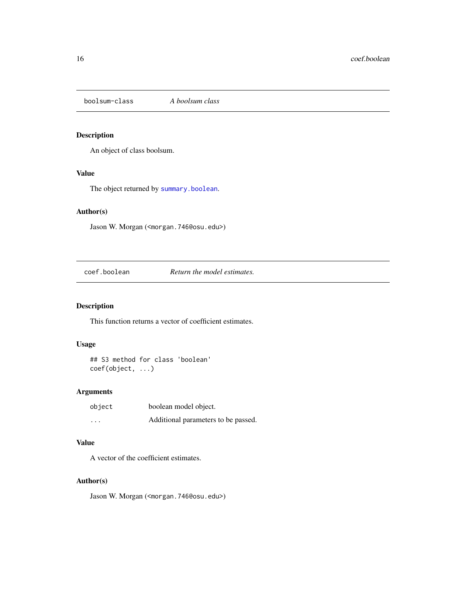<span id="page-15-1"></span><span id="page-15-0"></span>boolsum-class *A boolsum class*

# Description

An object of class boolsum.

#### Value

The object returned by [summary.boolean](#page-23-1).

# Author(s)

Jason W. Morgan (<morgan.746@osu.edu>)

coef.boolean *Return the model estimates.*

# Description

This function returns a vector of coefficient estimates.

# Usage

## S3 method for class 'boolean' coef(object, ...)

# Arguments

| object                  | boolean model object.               |
|-------------------------|-------------------------------------|
| $\cdot$ $\cdot$ $\cdot$ | Additional parameters to be passed. |

#### Value

A vector of the coefficient estimates.

# Author(s)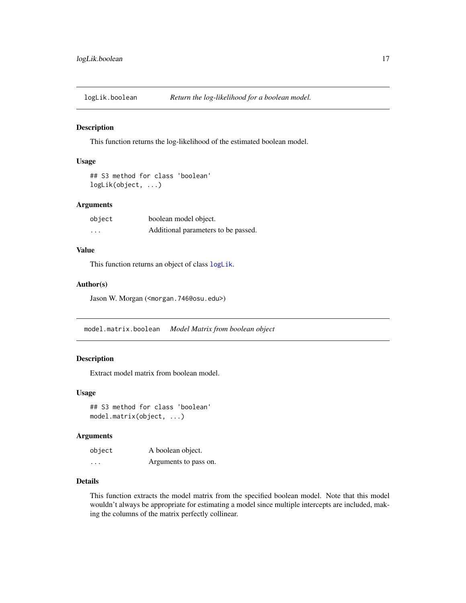<span id="page-16-0"></span>

This function returns the log-likelihood of the estimated boolean model.

#### Usage

## S3 method for class 'boolean' logLik(object, ...)

# Arguments

| object   | boolean model object.               |
|----------|-------------------------------------|
| $\cdots$ | Additional parameters to be passed. |

# Value

This function returns an object of class [logLik](#page-0-0).

#### Author(s)

Jason W. Morgan (<morgan.746@osu.edu>)

model.matrix.boolean *Model Matrix from boolean object*

# Description

Extract model matrix from boolean model.

#### Usage

## S3 method for class 'boolean' model.matrix(object, ...)

#### Arguments

| object   | A boolean object.     |
|----------|-----------------------|
| $\cdots$ | Arguments to pass on. |

# Details

This function extracts the model matrix from the specified boolean model. Note that this model wouldn't always be appropriate for estimating a model since multiple intercepts are included, making the columns of the matrix perfectly collinear.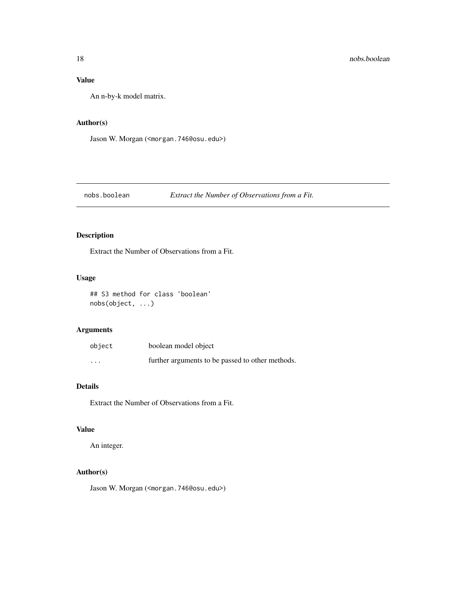# <span id="page-17-0"></span>Value

An n-by-k model matrix.

#### Author(s)

Jason W. Morgan (<morgan.746@osu.edu>)

# nobs.boolean *Extract the Number of Observations from a Fit.*

# Description

Extract the Number of Observations from a Fit.

# Usage

## S3 method for class 'boolean' nobs(object, ...)

# Arguments

| object   | boolean model object                             |
|----------|--------------------------------------------------|
| $\cdots$ | further arguments to be passed to other methods. |

# Details

Extract the Number of Observations from a Fit.

# Value

An integer.

# Author(s)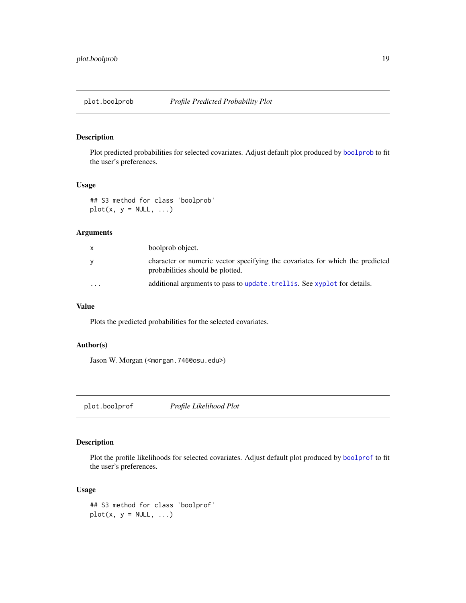<span id="page-18-0"></span>

Plot predicted probabilities for selected covariates. Adjust default plot produced by [boolprob](#page-11-1) to fit the user's preferences.

# Usage

## S3 method for class 'boolprob'  $plot(x, y = NULL, ...)$ 

#### Arguments

| $\mathsf{x}$ | boolprob object.                                                                                                  |
|--------------|-------------------------------------------------------------------------------------------------------------------|
| y            | character or numeric vector specifying the covariates for which the predicted<br>probabilities should be plotted. |
| $\cdots$     | additional arguments to pass to update. trell is. See xyplot for details.                                         |

# Value

Plots the predicted probabilities for the selected covariates.

#### Author(s)

Jason W. Morgan (<morgan.746@osu.edu>)

plot.boolprof *Profile Likelihood Plot*

# Description

Plot the profile likelihoods for selected covariates. Adjust default plot produced by [boolprof](#page-13-1) to fit the user's preferences.

#### Usage

```
## S3 method for class 'boolprof'
plot(x, y = NULL, ...)
```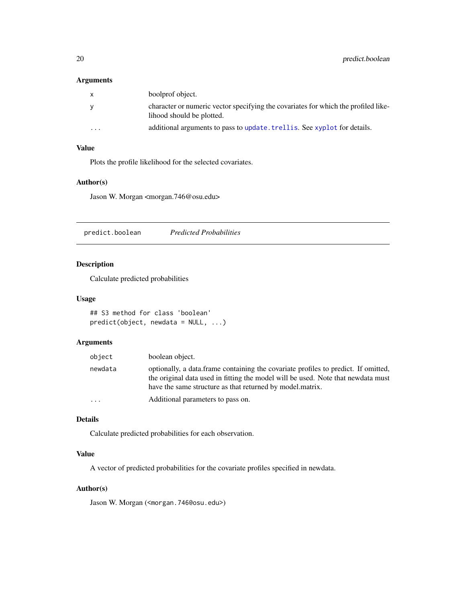# <span id="page-19-0"></span>Arguments

| $\mathsf{X}$            | boolprof object.                                                                                                |
|-------------------------|-----------------------------------------------------------------------------------------------------------------|
| <b>V</b>                | character or numeric vector specifying the covariates for which the profiled like-<br>lihood should be plotted. |
| $\cdot$ $\cdot$ $\cdot$ | additional arguments to pass to update. trell is. See xyplot for details.                                       |

# Value

Plots the profile likelihood for the selected covariates.

#### Author(s)

Jason W. Morgan <morgan.746@osu.edu>

predict.boolean *Predicted Probabilities*

# Description

Calculate predicted probabilities

#### Usage

```
## S3 method for class 'boolean'
predict(object, newdata = NULL, ...)
```
# Arguments

| object  | boolean object.                                                                                                                                                                                                                      |
|---------|--------------------------------------------------------------------------------------------------------------------------------------------------------------------------------------------------------------------------------------|
| newdata | optionally, a data frame containing the covariate profiles to predict. If omitted,<br>the original data used in fitting the model will be used. Note that newdata must<br>have the same structure as that returned by model, matrix. |
| .       | Additional parameters to pass on.                                                                                                                                                                                                    |

# Details

Calculate predicted probabilities for each observation.

# Value

A vector of predicted probabilities for the covariate profiles specified in newdata.

# Author(s)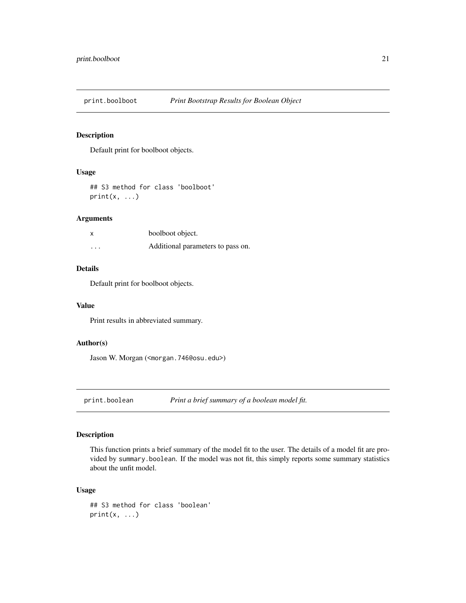<span id="page-20-0"></span>

Default print for boolboot objects.

# Usage

## S3 method for class 'boolboot'  $print(x, \ldots)$ 

#### Arguments

| $\boldsymbol{\mathsf{x}}$ | boolboot object.                  |
|---------------------------|-----------------------------------|
| $\cdot$                   | Additional parameters to pass on. |

# Details

Default print for boolboot objects.

#### Value

Print results in abbreviated summary.

# Author(s)

Jason W. Morgan (<morgan.746@osu.edu>)

print.boolean *Print a brief summary of a boolean model fit.*

# Description

This function prints a brief summary of the model fit to the user. The details of a model fit are provided by summary.boolean. If the model was not fit, this simply reports some summary statistics about the unfit model.

#### Usage

```
## S3 method for class 'boolean'
print(x, \ldots)
```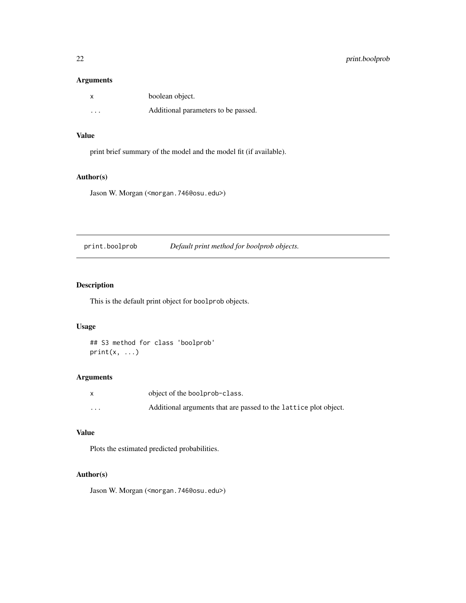# <span id="page-21-0"></span>Arguments

| x        | boolean object.                     |
|----------|-------------------------------------|
| $\cdots$ | Additional parameters to be passed. |

# Value

print brief summary of the model and the model fit (if available).

# Author(s)

Jason W. Morgan (<morgan.746@osu.edu>)

print.boolprob *Default print method for boolprob objects.*

# Description

This is the default print object for boolprob objects.

# Usage

## S3 method for class 'boolprob'  $print(x, \ldots)$ 

# Arguments

|          | object of the boolprob-class.                                    |
|----------|------------------------------------------------------------------|
| $\cdots$ | Additional arguments that are passed to the lattice plot object. |

# Value

Plots the estimated predicted probabilities.

# Author(s)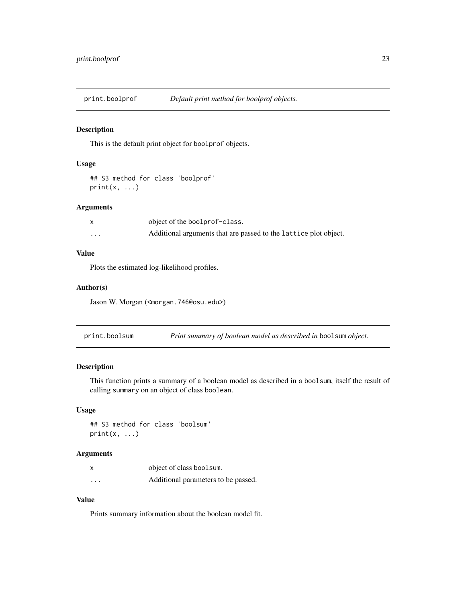<span id="page-22-0"></span>

This is the default print object for boolprof objects.

# Usage

```
## S3 method for class 'boolprof'
print(x, \ldots)
```
# Arguments

|          | object of the boolprof-class.                                    |
|----------|------------------------------------------------------------------|
| $\cdots$ | Additional arguments that are passed to the lattice plot object. |

#### Value

Plots the estimated log-likelihood profiles.

#### Author(s)

Jason W. Morgan (<morgan.746@osu.edu>)

print.boolsum *Print summary of boolean model as described in* boolsum *object.*

# Description

This function prints a summary of a boolean model as described in a boolsum, itself the result of calling summary on an object of class boolean.

# Usage

## S3 method for class 'boolsum'  $print(x, \ldots)$ 

#### Arguments

|          | object of class boolsum.            |
|----------|-------------------------------------|
| $\cdots$ | Additional parameters to be passed. |

# Value

Prints summary information about the boolean model fit.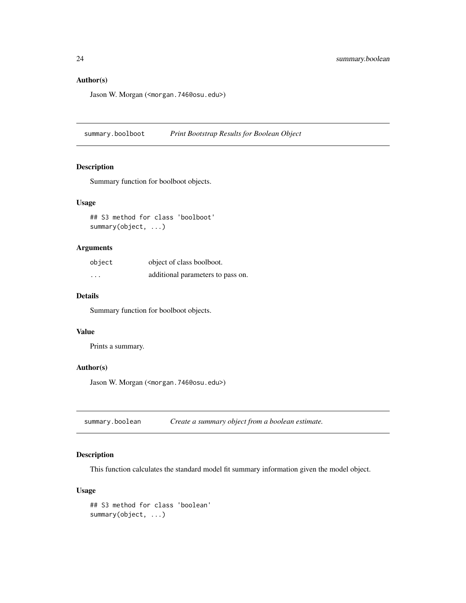# <span id="page-23-0"></span>Author(s)

Jason W. Morgan (<morgan.746@osu.edu>)

summary.boolboot *Print Bootstrap Results for Boolean Object*

# Description

Summary function for boolboot objects.

#### Usage

## S3 method for class 'boolboot' summary(object, ...)

# Arguments

| object                  | object of class boolboot.         |
|-------------------------|-----------------------------------|
| $\cdot$ $\cdot$ $\cdot$ | additional parameters to pass on. |

#### Details

Summary function for boolboot objects.

#### Value

Prints a summary.

#### Author(s)

Jason W. Morgan (<morgan.746@osu.edu>)

<span id="page-23-1"></span>summary.boolean *Create a summary object from a boolean estimate.*

# Description

This function calculates the standard model fit summary information given the model object.

# Usage

```
## S3 method for class 'boolean'
summary(object, ...)
```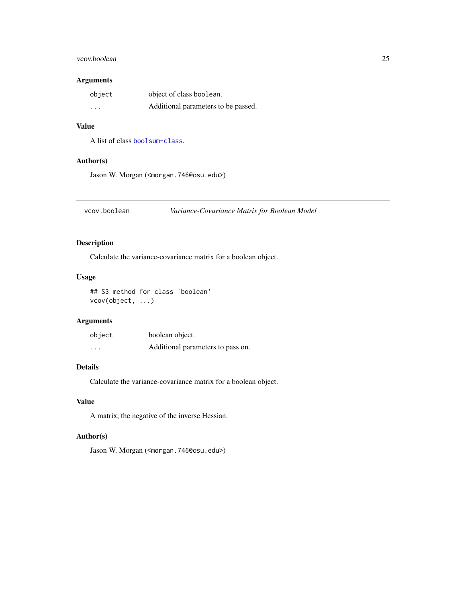## <span id="page-24-0"></span>vcov.boolean 25

# Arguments

| object   | object of class boolean.            |
|----------|-------------------------------------|
| $\cdots$ | Additional parameters to be passed. |

### Value

A list of class [boolsum-class](#page-15-1).

# Author(s)

Jason W. Morgan (<morgan.746@osu.edu>)

vcov.boolean *Variance-Covariance Matrix for Boolean Model*

# Description

Calculate the variance-covariance matrix for a boolean object.

### Usage

## S3 method for class 'boolean' vcov(object, ...)

# Arguments

| object   | boolean object.                   |
|----------|-----------------------------------|
| $\cdots$ | Additional parameters to pass on. |

# Details

Calculate the variance-covariance matrix for a boolean object.

# Value

A matrix, the negative of the inverse Hessian.

# Author(s)